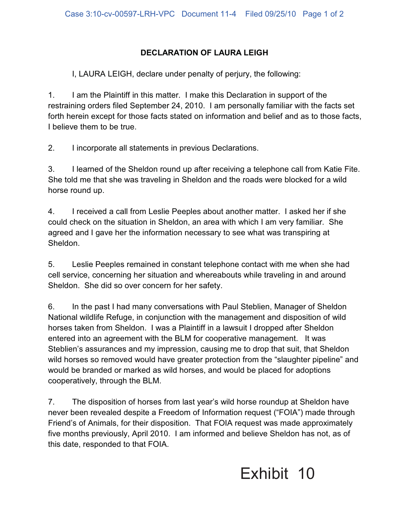## **DECLARATION OF LAURA LEIGH**

I, LAURA LEIGH, declare under penalty of perjury, the following:

1. I am the Plaintiff in this matter. I make this Declaration in support of the restraining orders filed September 24, 2010. I am personally familiar with the facts set forth herein except for those facts stated on information and belief and as to those facts, I believe them to be true.

2. I incorporate all statements in previous Declarations.

3. I learned of the Sheldon round up after receiving a telephone call from Katie Fite. She told me that she was traveling in Sheldon and the roads were blocked for a wild horse round up.

4. I received a call from Leslie Peeples about another matter. I asked her if she could check on the situation in Sheldon, an area with which I am very familiar. She agreed and I gave her the information necessary to see what was transpiring at Sheldon.

5. Leslie Peeples remained in constant telephone contact with me when she had cell service, concerning her situation and whereabouts while traveling in and around Sheldon. She did so over concern for her safety.

6. In the past I had many conversations with Paul Steblien, Manager of Sheldon National wildlife Refuge, in conjunction with the management and disposition of wild horses taken from Sheldon. I was a Plaintiff in a lawsuit I dropped after Sheldon entered into an agreement with the BLM for cooperative management. It was Steblien's assurances and my impression, causing me to drop that suit, that Sheldon wild horses so removed would have greater protection from the "slaughter pipeline" and would be branded or marked as wild horses, and would be placed for adoptions cooperatively, through the BLM.

7. The disposition of horses from last year's wild horse roundup at Sheldon have never been revealed despite a Freedom of Information request ("FOIA") made through Friend's of Animals, for their disposition. That FOIA request was made approximately five months previously, April 2010. I am informed and believe Sheldon has not, as of this date, responded to that FOIA.

## Exhibit 10